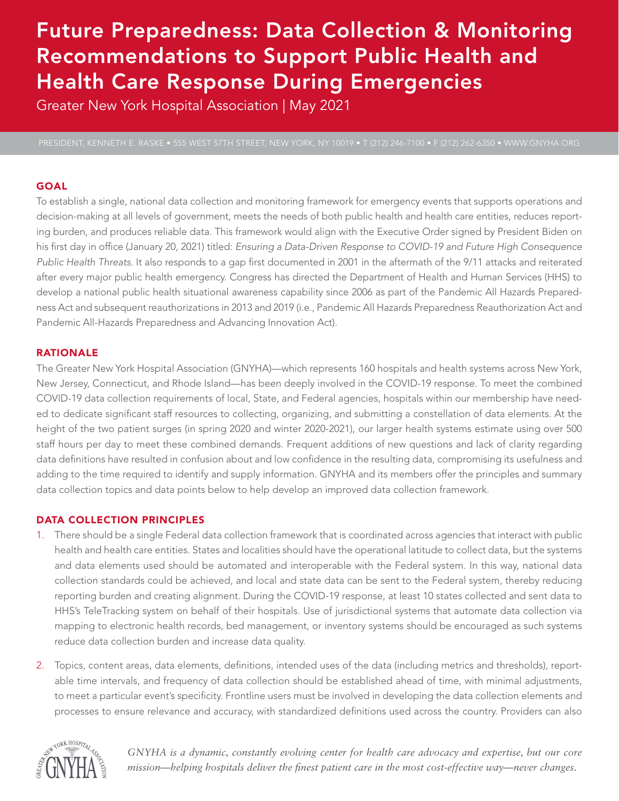# Future Preparedness: Data Collection & Monitoring Recommendations to Support Public Health and Health Care Response During Emergencies

Greater New York Hospital Association | May 2021

## GOAL

To establish a single, national data collection and monitoring framework for emergency events that supports operations and decision-making at all levels of government, meets the needs of both public health and health care entities, reduces reporting burden, and produces reliable data. This framework would align with the Executive Order signed by President Biden on his first day in office (January 20, 2021) titled: *Ensuring a Data-Driven Response to COVID-19 and Future High Consequence Public Health Threats.* It also responds to a gap first documented in 2001 in the aftermath of the 9/11 attacks and reiterated after every major public health emergency. Congress has directed the Department of Health and Human Services (HHS) to develop a national public health situational awareness capability since 2006 as part of the Pandemic All Hazards Preparedness Act and subsequent reauthorizations in 2013 and 2019 (i.e., Pandemic All Hazards Preparedness Reauthorization Act and Pandemic All-Hazards Preparedness and Advancing Innovation Act).

## RATIONALE

The Greater New York Hospital Association (GNYHA)—which represents 160 hospitals and health systems across New York, New Jersey, Connecticut, and Rhode Island—has been deeply involved in the COVID-19 response. To meet the combined COVID-19 data collection requirements of local, State, and Federal agencies, hospitals within our membership have needed to dedicate significant staff resources to collecting, organizing, and submitting a constellation of data elements. At the height of the two patient surges (in spring 2020 and winter 2020-2021), our larger health systems estimate using over 500 staff hours per day to meet these combined demands. Frequent additions of new questions and lack of clarity regarding data definitions have resulted in confusion about and low confidence in the resulting data, compromising its usefulness and adding to the time required to identify and supply information. GNYHA and its members offer the principles and summary data collection topics and data points below to help develop an improved data collection framework.

### DATA COLLECTION PRINCIPLES

- 1. There should be a single Federal data collection framework that is coordinated across agencies that interact with public health and health care entities. States and localities should have the operational latitude to collect data, but the systems and data elements used should be automated and interoperable with the Federal system. In this way, national data collection standards could be achieved, and local and state data can be sent to the Federal system, thereby reducing reporting burden and creating alignment. During the COVID-19 response, at least 10 states collected and sent data to HHS's TeleTracking system on behalf of their hospitals. Use of jurisdictional systems that automate data collection via mapping to electronic health records, bed management, or inventory systems should be encouraged as such systems reduce data collection burden and increase data quality.
- 2. Topics, content areas, data elements, definitions, intended uses of the data (including metrics and thresholds), reportable time intervals, and frequency of data collection should be established ahead of time, with minimal adjustments, to meet a particular event's specificity. Frontline users must be involved in developing the data collection elements and processes to ensure relevance and accuracy, with standardized definitions used across the country. Providers can also



*GNYHA is a dynamic, constantly evolving center for health care advocacy and expertise, but our core mission—helping hospitals deliver the finest patient care in the most cost-effective way—never changes.*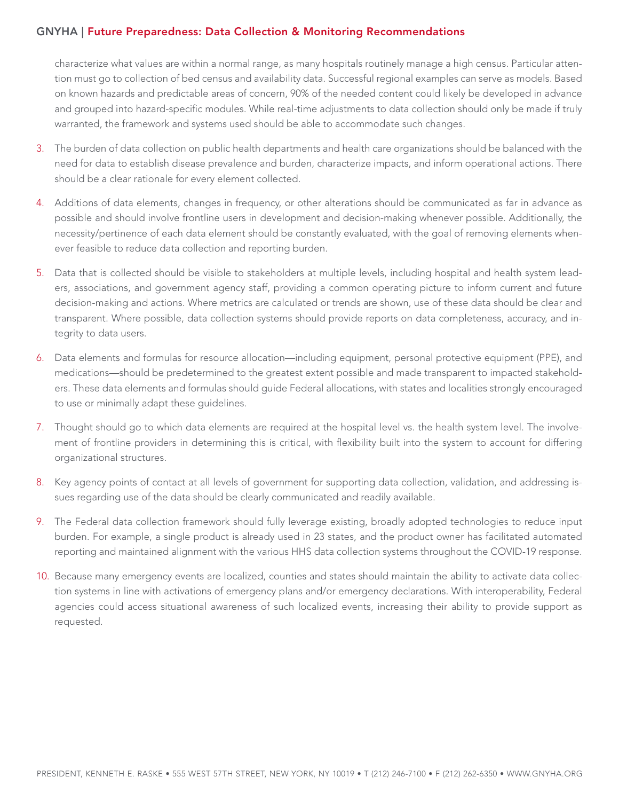## GNYHA | Future Preparedness: Data Collection & Monitoring Recommendations

characterize what values are within a normal range, as many hospitals routinely manage a high census. Particular attention must go to collection of bed census and availability data. Successful regional examples can serve as models. Based on known hazards and predictable areas of concern, 90% of the needed content could likely be developed in advance and grouped into hazard-specific modules. While real-time adjustments to data collection should only be made if truly warranted, the framework and systems used should be able to accommodate such changes.

- 3. The burden of data collection on public health departments and health care organizations should be balanced with the need for data to establish disease prevalence and burden, characterize impacts, and inform operational actions. There should be a clear rationale for every element collected.
- 4. Additions of data elements, changes in frequency, or other alterations should be communicated as far in advance as possible and should involve frontline users in development and decision-making whenever possible. Additionally, the necessity/pertinence of each data element should be constantly evaluated, with the goal of removing elements whenever feasible to reduce data collection and reporting burden.
- 5. Data that is collected should be visible to stakeholders at multiple levels, including hospital and health system leaders, associations, and government agency staff, providing a common operating picture to inform current and future decision-making and actions. Where metrics are calculated or trends are shown, use of these data should be clear and transparent. Where possible, data collection systems should provide reports on data completeness, accuracy, and integrity to data users.
- 6. Data elements and formulas for resource allocation—including equipment, personal protective equipment (PPE), and medications—should be predetermined to the greatest extent possible and made transparent to impacted stakeholders. These data elements and formulas should guide Federal allocations, with states and localities strongly encouraged to use or minimally adapt these guidelines.
- 7. Thought should go to which data elements are required at the hospital level vs. the health system level. The involvement of frontline providers in determining this is critical, with flexibility built into the system to account for differing organizational structures.
- 8. Key agency points of contact at all levels of government for supporting data collection, validation, and addressing issues regarding use of the data should be clearly communicated and readily available.
- 9. The Federal data collection framework should fully leverage existing, broadly adopted technologies to reduce input burden. For example, a single product is already used in 23 states, and the product owner has facilitated automated reporting and maintained alignment with the various HHS data collection systems throughout the COVID-19 response.
- 10. Because many emergency events are localized, counties and states should maintain the ability to activate data collection systems in line with activations of emergency plans and/or emergency declarations. With interoperability, Federal agencies could access situational awareness of such localized events, increasing their ability to provide support as requested.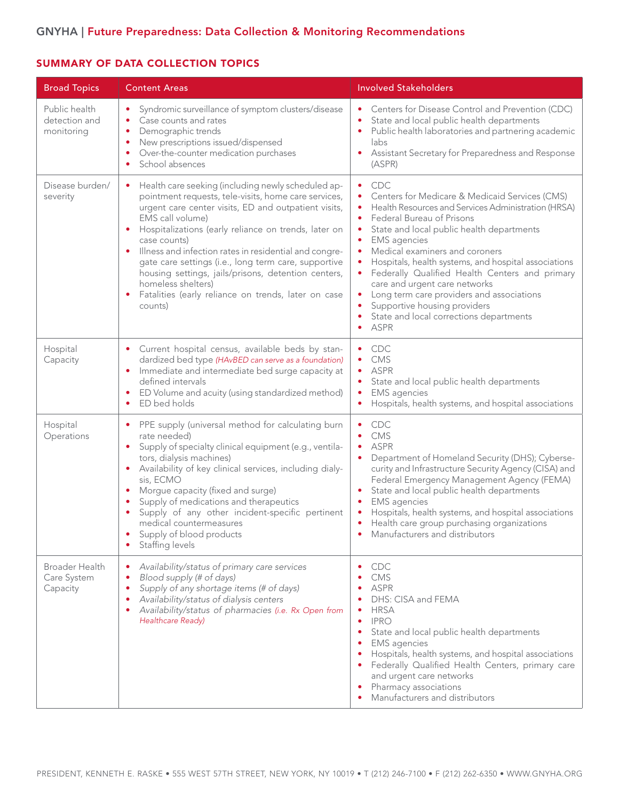# GNYHA | Future Preparedness: Data Collection & Monitoring Recommendations

# SUMMARY OF DATA COLLECTION TOPICS

| <b>Broad Topics</b>                              | <b>Content Areas</b>                                                                                                                                                                                                                                                                                                                                                                                                                                                                                                                              | <b>Involved Stakeholders</b>                                                                                                                                                                                                                                                                                                                                                                                                                                                                                                                                                                                                                  |
|--------------------------------------------------|---------------------------------------------------------------------------------------------------------------------------------------------------------------------------------------------------------------------------------------------------------------------------------------------------------------------------------------------------------------------------------------------------------------------------------------------------------------------------------------------------------------------------------------------------|-----------------------------------------------------------------------------------------------------------------------------------------------------------------------------------------------------------------------------------------------------------------------------------------------------------------------------------------------------------------------------------------------------------------------------------------------------------------------------------------------------------------------------------------------------------------------------------------------------------------------------------------------|
| Public health<br>detection and<br>monitoring     | Syndromic surveillance of symptom clusters/disease<br>Case counts and rates<br>٠<br>Demographic trends<br>٠<br>New prescriptions issued/dispensed<br>٠<br>Over-the-counter medication purchases<br>School absences<br>٠                                                                                                                                                                                                                                                                                                                           | Centers for Disease Control and Prevention (CDC)<br>State and local public health departments<br>٠<br>Public health laboratories and partnering academic<br>labs<br>Assistant Secretary for Preparedness and Response<br>٠<br>(ASPR)                                                                                                                                                                                                                                                                                                                                                                                                          |
| Disease burden/<br>severity                      | Health care seeking (including newly scheduled ap-<br>$\bullet$<br>pointment requests, tele-visits, home care services,<br>urgent care center visits, ED and outpatient visits,<br>EMS call volume)<br>Hospitalizations (early reliance on trends, later on<br>٠<br>case counts)<br>Illness and infection rates in residential and congre-<br>gate care settings (i.e., long term care, supportive<br>housing settings, jails/prisons, detention centers,<br>homeless shelters)<br>Fatalities (early reliance on trends, later on case<br>counts) | <b>CDC</b><br>٠<br>Centers for Medicare & Medicaid Services (CMS)<br>٠<br>Health Resources and Services Administration (HRSA)<br>$\bullet$<br>Federal Bureau of Prisons<br>$\bullet$<br>State and local public health departments<br>٠<br><b>EMS</b> agencies<br>٠<br>Medical examiners and coroners<br>٠<br>Hospitals, health systems, and hospital associations<br>$\bullet$<br>Federally Qualified Health Centers and primary<br>$\bullet$<br>care and urgent care networks<br>Long term care providers and associations<br>$\bullet$<br>Supportive housing providers<br>$\bullet$<br>State and local corrections departments<br>ASPR<br>٠ |
| Hospital<br>Capacity                             | Current hospital census, available beds by stan-<br>dardized bed type (HAvBED can serve as a foundation)<br>Immediate and intermediate bed surge capacity at<br>defined intervals<br>ED Volume and acuity (using standardized method)<br>$\bullet$<br>ED bed holds<br>٠                                                                                                                                                                                                                                                                           | <b>CDC</b><br>CMS<br>٠<br>ASPR<br>State and local public health departments<br>٠<br><b>EMS</b> agencies<br>٠<br>Hospitals, health systems, and hospital associations<br>٠                                                                                                                                                                                                                                                                                                                                                                                                                                                                     |
| Hospital<br>Operations                           | PPE supply (universal method for calculating burn<br>٠<br>rate needed)<br>Supply of specialty clinical equipment (e.g., ventila-<br>tors, dialysis machines)<br>Availability of key clinical services, including dialy-<br>sis, ECMO<br>Morgue capacity (fixed and surge)<br>Supply of medications and therapeutics<br>Supply of any other incident-specific pertinent<br>medical countermeasures<br>Supply of blood products<br>Staffing levels                                                                                                  | <b>CDC</b><br><b>CMS</b><br><b>ASPR</b><br>Department of Homeland Security (DHS); Cyberse-<br>curity and Infrastructure Security Agency (CISA) and<br>Federal Emergency Management Agency (FEMA)<br>State and local public health departments<br>$\bullet$<br><b>EMS</b> agencies<br>Hospitals, health systems, and hospital associations<br>Health care group purchasing organizations<br>$\bullet$<br>Manufacturers and distributors                                                                                                                                                                                                        |
| <b>Broader Health</b><br>Care System<br>Capacity | Availability/status of primary care services<br>Blood supply (# of days)<br>٠<br>Supply of any shortage items (# of days)<br>$\bullet$<br>Availability/status of dialysis centers<br>Availability/status of pharmacies (i.e. Rx Open from<br>Healthcare Ready)                                                                                                                                                                                                                                                                                    | <b>CDC</b><br><b>CMS</b><br><b>ASPR</b><br>DHS: CISA and FEMA<br><b>HRSA</b><br><b>IPRO</b><br>٠<br>State and local public health departments<br><b>EMS</b> agencies<br>Hospitals, health systems, and hospital associations<br>Federally Qualified Health Centers, primary care<br>and urgent care networks<br>Pharmacy associations<br>Manufacturers and distributors                                                                                                                                                                                                                                                                       |